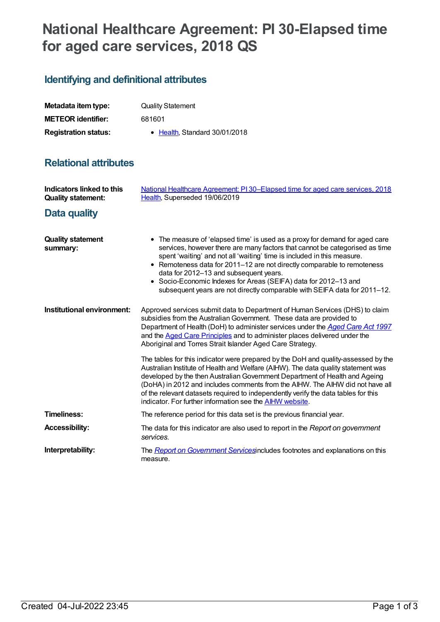## **National Healthcare Agreement: PI 30-Elapsed time for aged care services, 2018 QS**

## **Identifying and definitional attributes**

| Metadata item type:         | <b>Quality Statement</b>      |
|-----------------------------|-------------------------------|
| <b>METEOR</b> identifier:   | 681601                        |
| <b>Registration status:</b> | • Health, Standard 30/01/2018 |

## **Relational attributes**

| Indicators linked to this<br><b>Quality statement:</b> | National Healthcare Agreement: PI 30–Elapsed time for aged care services, 2018<br>Health, Superseded 19/06/2019                                                                                                                                                                                                                                                                                                                                                                                            |
|--------------------------------------------------------|------------------------------------------------------------------------------------------------------------------------------------------------------------------------------------------------------------------------------------------------------------------------------------------------------------------------------------------------------------------------------------------------------------------------------------------------------------------------------------------------------------|
| Data quality                                           |                                                                                                                                                                                                                                                                                                                                                                                                                                                                                                            |
| <b>Quality statement</b><br>summary:                   | • The measure of 'elapsed time' is used as a proxy for demand for aged care<br>services, however there are many factors that cannot be categorised as time<br>spent 'waiting' and not all 'waiting' time is included in this measure.<br>• Remoteness data for 2011-12 are not directly comparable to remoteness<br>data for 2012-13 and subsequent years.<br>• Socio-Economic Indexes for Areas (SEIFA) data for 2012-13 and<br>subsequent years are not directly comparable with SEIFA data for 2011-12. |
| Institutional environment:                             | Approved services submit data to Department of Human Services (DHS) to claim<br>subsidies from the Australian Government. These data are provided to<br>Department of Health (DoH) to administer services under the Aged Care Act 1997<br>and the <b>Aged Care Principles</b> and to administer places delivered under the<br>Aboriginal and Torres Strait Islander Aged Care Strategy.                                                                                                                    |
|                                                        | The tables for this indicator were prepared by the DoH and quality-assessed by the<br>Australian Institute of Health and Welfare (AIHW). The data quality statement was<br>developed by the then Australian Government Department of Health and Ageing<br>(DoHA) in 2012 and includes comments from the AIHW. The AIHW did not have all<br>of the relevant datasets required to independently verify the data tables for this<br>indicator. For further information see the <b>AIHW</b> website.           |
| <b>Timeliness:</b>                                     | The reference period for this data set is the previous financial year.                                                                                                                                                                                                                                                                                                                                                                                                                                     |
| <b>Accessibility:</b>                                  | The data for this indicator are also used to report in the Report on government<br>services.                                                                                                                                                                                                                                                                                                                                                                                                               |
| Interpretability:                                      | The Report on Government Servicesincludes footnotes and explanations on this<br>measure.                                                                                                                                                                                                                                                                                                                                                                                                                   |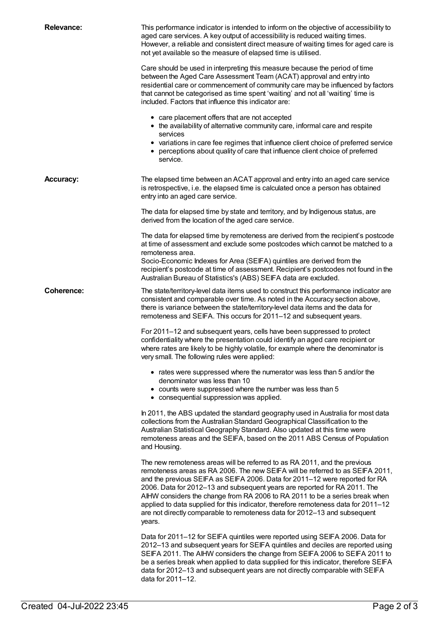| <b>Relevance:</b> | This performance indicator is intended to inform on the objective of accessibility to<br>aged care services. A key output of accessibility is reduced waiting times.<br>However, a reliable and consistent direct measure of waiting times for aged care is<br>not yet available so the measure of elapsed time is utilised.<br>Care should be used in interpreting this measure because the period of time<br>between the Aged Care Assessment Team (ACAT) approval and entry into<br>residential care or commencement of community care may be influenced by factors<br>that cannot be categorised as time spent 'waiting' and not all 'waiting' time is<br>included. Factors that influence this indicator are:<br>• care placement offers that are not accepted<br>• the availability of alternative community care, informal care and respite<br>services<br>• variations in care fee regimes that influence client choice of preferred service<br>• perceptions about quality of care that influence client choice of preferred<br>service. |
|-------------------|---------------------------------------------------------------------------------------------------------------------------------------------------------------------------------------------------------------------------------------------------------------------------------------------------------------------------------------------------------------------------------------------------------------------------------------------------------------------------------------------------------------------------------------------------------------------------------------------------------------------------------------------------------------------------------------------------------------------------------------------------------------------------------------------------------------------------------------------------------------------------------------------------------------------------------------------------------------------------------------------------------------------------------------------------|
| <b>Accuracy:</b>  | The elapsed time between an ACAT approval and entry into an aged care service<br>is retrospective, i.e. the elapsed time is calculated once a person has obtained<br>entry into an aged care service.<br>The data for elapsed time by state and territory, and by Indigenous status, are<br>derived from the location of the aged care service.                                                                                                                                                                                                                                                                                                                                                                                                                                                                                                                                                                                                                                                                                                   |
|                   | The data for elapsed time by remoteness are derived from the recipient's postcode<br>at time of assessment and exclude some postcodes which cannot be matched to a<br>remoteness area.<br>Socio-Economic Indexes for Area (SEIFA) quintiles are derived from the<br>recipient's postcode at time of assessment. Recipient's postcodes not found in the<br>Australian Bureau of Statistics's (ABS) SEIFA data are excluded.                                                                                                                                                                                                                                                                                                                                                                                                                                                                                                                                                                                                                        |
| <b>Coherence:</b> | The state/territory-level data items used to construct this performance indicator are<br>consistent and comparable over time. As noted in the Accuracy section above,<br>there is variance between the state/territory-level data items and the data for<br>remoteness and SEIFA. This occurs for 2011-12 and subsequent years.                                                                                                                                                                                                                                                                                                                                                                                                                                                                                                                                                                                                                                                                                                                   |
|                   | For 2011-12 and subsequent years, cells have been suppressed to protect<br>confidentiality where the presentation could identify an aged care recipient or<br>where rates are likely to be highly volatile, for example where the denominator is<br>very small. The following rules were applied:                                                                                                                                                                                                                                                                                                                                                                                                                                                                                                                                                                                                                                                                                                                                                 |
|                   | • rates were suppressed where the numerator was less than 5 and/or the<br>denominator was less than 10<br>• counts were suppressed where the number was less than 5<br>• consequential suppression was applied.                                                                                                                                                                                                                                                                                                                                                                                                                                                                                                                                                                                                                                                                                                                                                                                                                                   |
|                   | In 2011, the ABS updated the standard geography used in Australia for most data<br>collections from the Australian Standard Geographical Classification to the<br>Australian Statistical Geography Standard. Also updated at this time were<br>remoteness areas and the SEIFA, based on the 2011 ABS Census of Population<br>and Housing.                                                                                                                                                                                                                                                                                                                                                                                                                                                                                                                                                                                                                                                                                                         |
|                   | The new remoteness areas will be referred to as RA 2011, and the previous<br>remoteness areas as RA 2006. The new SEIFA will be referred to as SEIFA 2011,<br>and the previous SEIFA as SEIFA 2006. Data for 2011-12 were reported for RA<br>2006. Data for 2012-13 and subsequent years are reported for RA 2011. The<br>AIHW considers the change from RA 2006 to RA 2011 to be a series break when<br>applied to data supplied for this indicator, therefore remoteness data for 2011-12<br>are not directly comparable to remoteness data for 2012-13 and subsequent<br>years.                                                                                                                                                                                                                                                                                                                                                                                                                                                                |
|                   | Data for 2011-12 for SEIFA quintiles were reported using SEIFA 2006. Data for<br>2012-13 and subsequent years for SEIFA quintiles and deciles are reported using<br>SEIFA 2011. The AIHW considers the change from SEIFA 2006 to SEIFA 2011 to<br>be a series break when applied to data supplied for this indicator, therefore SEIFA<br>data for 2012-13 and subsequent years are not directly comparable with SEIFA<br>data for 2011-12.                                                                                                                                                                                                                                                                                                                                                                                                                                                                                                                                                                                                        |